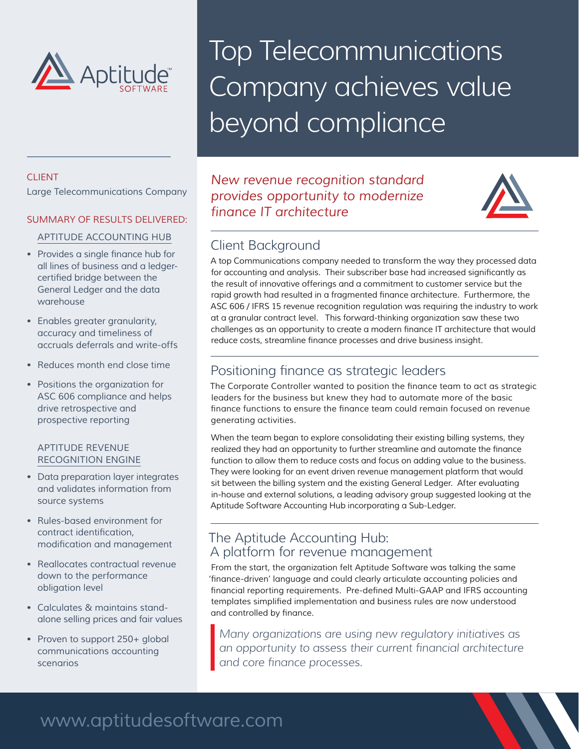

# Top Telecommunications Company achieves value beyond compliance

#### CLIENT

Large Telecommunications Company

#### SUMMARY OF RESULTS DELIVERED:

#### APTITUDE ACCOUNTING HUB

- Provides a single finance hub for all lines of business and a ledgercertified bridge between the General Ledger and the data warehouse
- Enables greater granularity, accuracy and timeliness of accruals deferrals and write-offs
- Reduces month end close time
- Positions the organization for ASC 606 compliance and helps drive retrospective and prospective reporting

#### APTITUDE REVENUE RECOGNITION ENGINE

- Data preparation layer integrates and validates information from source systems
- Rules-based environment for contract identification, modification and management
- Reallocates contractual revenue down to the performance obligation level
- Calculates & maintains standalone selling prices and fair values
- Proven to support 250+ global communications accounting scenarios

## *New revenue recognition standard provides opportunity to modernize finance IT architecture*



# Client Background

A top Communications company needed to transform the way they processed data for accounting and analysis. Their subscriber base had increased significantly as the result of innovative offerings and a commitment to customer service but the rapid growth had resulted in a fragmented finance architecture. Furthermore, the ASC 606 / IFRS 15 revenue recognition regulation was requiring the industry to work at a granular contract level. This forward-thinking organization saw these two challenges as an opportunity to create a modern finance IT architecture that would reduce costs, streamline finance processes and drive business insight.

## Positioning finance as strategic leaders

The Corporate Controller wanted to position the finance team to act as strategic leaders for the business but knew they had to automate more of the basic finance functions to ensure the finance team could remain focused on revenue generating activities.

When the team began to explore consolidating their existing billing systems, they realized they had an opportunity to further streamline and automate the finance function to allow them to reduce costs and focus on adding value to the business. They were looking for an event driven revenue management platform that would sit between the billing system and the existing General Ledger. After evaluating in-house and external solutions, a leading advisory group suggested looking at the Aptitude Software Accounting Hub incorporating a Sub-Ledger.

#### The Aptitude Accounting Hub: A platform for revenue management

From the start, the organization felt Aptitude Software was talking the same 'finance-driven' language and could clearly articulate accounting policies and financial reporting requirements. Pre-defined Multi-GAAP and IFRS accounting templates simplified implementation and business rules are now understood and controlled by finance.

*Many organizations are using new regulatory initiatives as an opportunity to assess their current financial architecture and core finance processes.* 

# www.aptitudesoftware.com